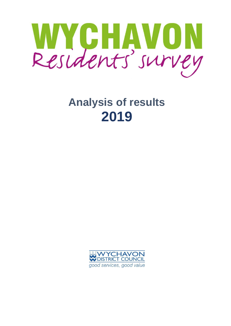

# **Analysis of results 2019**

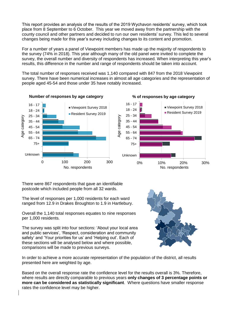This report provides an analysis of the results of the 2019 Wychavon residents' survey, which took place from 8 September to 6 October. This year we moved away from the partnership with the county council and other partners and decided to run our own residents' survey. This led to several changes being made for this year's survey including changes to its content and promotion.

For a number of years a panel of Viewpoint members has made up the majority of respondents to the survey (74% in 2018). This year although many of the old panel were invited to complete the survey, the overall number and diversity of respondents has increased. When interpreting this year's results, this difference in the number and range of respondents should be taken into account.

The total number of responses received was 1,140 compared with 847 from the 2018 Viewpoint survey. There have been numerical increases in almost all age categories and the representation of people aged 45-54 and those under 35 have notably increased.



There were 867 respondents that gave an identifiable postcode which included people from all 32 wards.

The level of responses per 1,000 residents for each ward ranged from 12.9 in Drakes Broughton to 1.9 in Hartlebury.

Overall the 1,140 total responses equates to nine responses per 1,000 residents.

The survey was split into four sections: 'About your local area and public services', 'Respect, consideration and community safety' and 'Your priorities for us' and 'Helping out'. Each of these sections will be analysed below and where possible, comparisons will be made to previous surveys.



In order to achieve a more accurate representation of the population of the district, all results presented here are weighted by age.

Based on the overall response rate the confidence level for the results overall is 3%. Therefore, where results are directly comparable to previous years **only changes of 3 percentage points or more can be considered as statistically significant**. Where questions have smaller response rates the confidence level may be higher.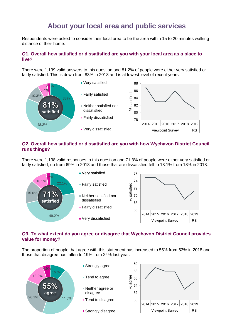# **About your local area and public services**

Respondents were asked to consider their local area to be the area within 15 to 20 minutes walking distance of their home.

## **Q1. Overall how satisfied or dissatisfied are you with your local area as a place to live?**

There were 1,139 valid answers to this question and 81.2% of people were either very satisfied or fairly satisfied. This is down from 83% in 2018 and is at lowest level of recent years.



## **Q2. Overall how satisfied or dissatisfied are you with how Wychavon District Council runs things?**

There were 1,138 valid responses to this question and 71.3% of people were either very satisfied or fairly satisfied, up from 69% in 2018 and those that are dissatisfied fell to 13.1% from 18% in 2018.



# **Q3. To what extent do you agree or disagree that Wychavon District Council provides value for money?**

The proportion of people that agree with this statement has increased to 55% from 53% in 2018 and those that disagree has fallen to 19% from 24% last year.

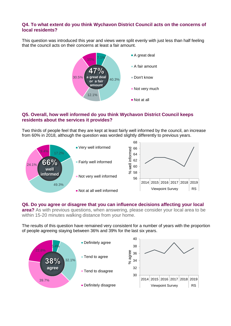# **Q4. To what extent do you think Wychavon District Council acts on the concerns of local residents?**

This question was introduced this year and views were split evenly with just less than half feeling that the council acts on their concerns at least a fair amount.



# **Q5. Overall, how well informed do you think Wychavon District Council keeps residents about the services it provides?**

Two thirds of people feel that they are kept at least fairly well informed by the council, an increase from 60% in 2018, although the question was worded slightly differently to previous years.



#### **Q6. Do you agree or disagree that you can influence decisions affecting your local**

**area?** As with previous questions, when answering, please consider your local area to be within 15-20 minutes walking distance from your home.

The results of this question have remained very consistent for a number of years with the proportion of people agreeing staying between 36% and 39% for the last six years.

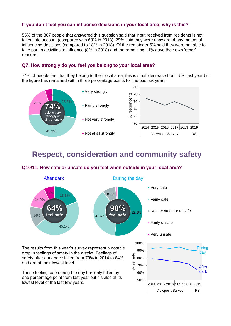# **If you don't feel you can influence decisions in your local area, why is this?**

55% of the 867 people that answered this question said that input received from residents is not taken into account (compared with 68% in 2018). 29% said they were unaware of any means of influencing decisions (compared to 18% in 2018). Of the remainder 6% said they were not able to take part in activities to influence (8% in 2018) and the remaining 11% gave their own 'other' reasons.

## **Q7. How strongly do you feel you belong to your local area?**

74% of people feel that they belong to their local area, this is small decrease from 75% last year but the figure has remained within three percentage points for the past six years.



# **Respect, consideration and community safety**

# **Q10/11. How safe or unsafe do you feel when outside in your local area?**

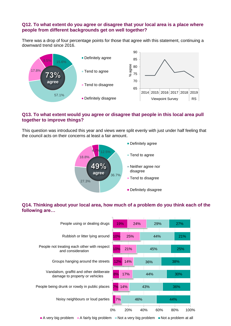## **Q12. To what extent do you agree or disagree that your local area is a place where people from different backgrounds get on well together?**

There was a drop of four percentage points for those that agree with this statement, continuing a downward trend since 2016.



# **Q13. To what extent would you agree or disagree that people in this local area pull together to improve things?**

This question was introduced this year and views were split evenly with just under half feeling that the council acts on their concerns at least a fair amount.



# **Q14. Thinking about your local area, how much of a problem do you think each of the following are…**

| People using or dealing drugs                                                                | 19%       | 24%        | 29% | <b>27%</b>           |
|----------------------------------------------------------------------------------------------|-----------|------------|-----|----------------------|
| Rubbish or litter lying around                                                               | 10%       | 25%        | 44% | 21%                  |
| People not treating each other with respect<br>and consideration                             | 10%       | 21%        | 45% | 25%                  |
| Groups hanging around the streets                                                            | 12%       | 14%        | 36% | 38%                  |
| Vandalism, graffiti and other deliberate<br>damage to property or vehicles                   | 8%<br>17% |            | 44% | <b>30%</b>           |
| People being drunk or rowdy in public places                                                 | 14%<br>7% |            | 43% | 36%                  |
| Noisy neighbours or loud parties                                                             | 7%        | 46%        |     | 44%                  |
|                                                                                              | $0\%$     | 20%<br>40% | 60% | 80%<br>100%          |
| A very big problem $\blacksquare$ A fairly big problem $\blacksquare$ Not a very big problem |           |            |     | Not a problem at all |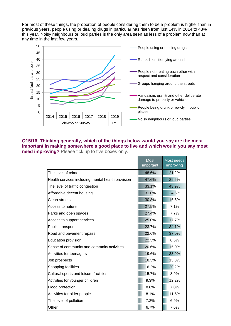For most of these things, the proportion of people considering them to be a problem is higher than in previous years, people using or dealing drugs in particular has risen from just 14% in 2014 to 43% this year. Noisy neighbours or loud parties is the only area seen as less of a problem now than at any time in the last few years.



#### **Q15/16. Thinking generally, which of the things below would you say are the most important in making somewhere a good place to live and which would you say most need improving?** Please tick up to five boxes only.

|                                                   | <b>Most</b><br><i><b>important</b></i> | Most needs<br>improving |
|---------------------------------------------------|----------------------------------------|-------------------------|
| The level of crime                                | 48.6%                                  | 21.2%                   |
| Health services including mental health provision | 47.6%                                  | 29.6%                   |
| The level of traffic congestion                   | 33.1%                                  | 43.9%                   |
| Affordable decent housing                         | 31.0%                                  | 24.6%                   |
| Clean streets                                     | 30.8%                                  | 16.5%                   |
| Access to nature                                  | 27.5%                                  | 7.1%                    |
| Parks and open spaces                             | 27.4%                                  | 7.7%                    |
| Access to support services                        | 25.0%                                  | 17.7%                   |
| Public transport                                  | 23.7%                                  | 34.1%                   |
| Road and pavement repairs                         | 22.6%                                  | 37.0%                   |
| <b>Education provision</b>                        | 22.3%                                  | 6.5%                    |
| Sense of community and commnity activities        | 20.6%                                  | 15.0%                   |
| Activities for teenagers                          | 19.6%                                  | 33.9%                   |
| Job prospects                                     | 18.3%                                  | 13.8%                   |
| Shopping facilities                               | 16.2%                                  | 20.2%                   |
| Cultural sports and leisure facilities            | 15.7%                                  | 8.9%                    |
| Activities for younger children                   | 9.3%                                   | 12.2%                   |
| Flood protection                                  | 8.6%                                   | 7.0%                    |
| Activities for older people                       | 8.1%                                   | 11.5%                   |
| The level of pollution                            | 7.2%                                   | 6.9%                    |
| Other                                             | 6.7%                                   | 7.6%                    |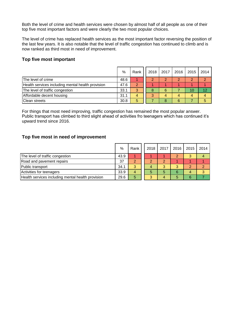Both the level of crime and health services were chosen by almost half of all people as one of their top five most important factors and were clearly the two most popular choices.

The level of crime has replaced health services as the most important factor reversing the position of the last few years. It is also notable that the level of traffic congestion has continued to climb and is now ranked as third most in need of improvement.

# **Top five most important**

|                                                   | %    | Rank | 2018 | 2017 | 2016 | 2015 | 2014 |
|---------------------------------------------------|------|------|------|------|------|------|------|
| The level of crime                                | 48.6 |      |      |      | 2    |      |      |
| Health services including mental health provision | 47.6 | 2    |      |      |      |      |      |
| The level of traffic congestion                   | 33.1 | 3    | 8    | 6    |      | 10   | 12   |
| Affordable decent housing                         | 31.1 | 4    | 3    |      | 4    |      |      |
| <b>Clean streets</b>                              | 30.8 | 5    |      | 8    | 6    |      |      |

For things that most need improving, traffic congestion has remained the most popular answer. Public transport has climbed to third slight ahead of activities fro teenagers which has continued it's upward trend since 2016.

#### **Top five most in need of improvement**

|                                                   | %    | Rank | 2018 | 2017 | 2016 | 2015 | 2014 |
|---------------------------------------------------|------|------|------|------|------|------|------|
| The level of traffic congestion                   | 43.9 |      |      |      | 2    |      | 4    |
| Road and pavement repairs                         | 37   | ≘    |      |      |      |      |      |
| Public transport                                  | 34.1 | 3    |      | 3    | 3    | n    | 2    |
| Activities for teenagers                          | 33.9 | 4    | 5    | 5    | 6    |      | 3    |
| Health services including mental health provision | 29.6 | 5    | 3    | 4    | 5    |      |      |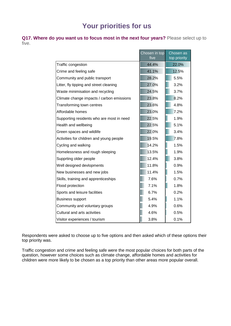# **Your priorities for us**

**Q17. Where do you want us to focus most in the next four years?** Please select up to five.

|                                           | Chosen in top<br>five | Chosen as<br>top priority |
|-------------------------------------------|-----------------------|---------------------------|
| Traffic congestion                        | 44.4%                 | 22.0%                     |
| Crime and feeling safe                    | 41.1%                 | 12.5%                     |
| Community and public transport            | 28.2%                 | 5.5%                      |
| Litter, fly tipping and street cleaning   | 27.0%                 | 3.2%                      |
| Waste minimisation and recycling          | 24.5%                 | 3.7%                      |
| Climate change impacts / carbon emissions | 23.8%                 | 8.2%                      |
| Transforming town centres                 | 23.6%                 | 4.8%                      |
| Affordable homes                          | 23.0%                 | 7.2%                      |
| Supporting residents who are most in need | 22.5%                 | 1.9%                      |
| Health and wellbeing                      | 22.5%                 | 5.1%                      |
| Green spaces and wildlife                 | 22.0%                 | 3.4%                      |
| Activities for children and young people  | 19.5%                 | 7.8%                      |
| Cycling and walking                       | 14.2%                 | 1.5%                      |
| Homelessness and rough sleeping           | 13.5%                 | 1.9%                      |
| Supprting older people                    | 12.4%                 | 3.8%                      |
| Well designed devlopments                 | 11.8%                 | 0.9%                      |
| New businesses and new jobs               | 11.4%                 | 1.5%                      |
| Skills, training and apprenticeships      | 7.6%                  | 0.7%                      |
| Flood protection                          | 7.1%                  | 1.8%                      |
| Sports and leisure facilities             | 6.7%                  | 0.2%                      |
| <b>Business support</b>                   | 5.4%                  | 1.1%                      |
| Community and voluntary groups            | 4.9%                  | 0.6%                      |
| Cultural and arts activities              | 4.6%                  | 0.5%                      |
| Visitor experiences / tourism             | 3.8%                  | 0.1%                      |

Respondents were asked to choose up to five options and then asked which of these options their top priority was.

Traffic congestion and crime and feeling safe were the most popular choices for both parts of the question, however some choices such as climate change, affordable homes and activities for children were more likely to be chosen as a top priority than other areas more popular overall.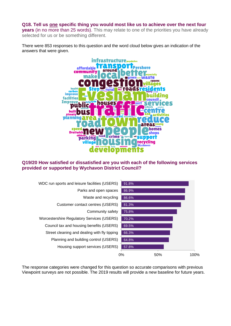#### **Q18. Tell us one specific thing you would most like us to achieve over the next four**

**years** (in no more than 25 words). This may relate to one of the priorities you have already selected for us or be something different.

There were 853 responses to this question and the word cloud below gives an indication of the answers that were given.



#### **Q19/20 How satisfied or dissatisfied are you with each of the following services provided or supported by Wychavon District Council?**



The response categories were changed for this question so accurate comparisons with previous Viewpoint surveys are not possible. The 2019 results will provide a new baseline for future years.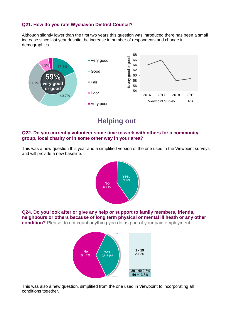# **Q21. How do you rate Wychavon District Council?**

Although slightly lower than the first two years this question was introduced there has been a small increase since last year despite the increase in number of respondents and change in demographics.



**Helping out**

#### **Q22. Do you currently volunteer some time to work with others for a community group, local charity or in some other way in your area?**

This was a new question this year and a simplified version of the one used in the Viewpoint surveys and will provide a new baseline.



**Q24. Do you look after or give any help or support to family members, friends, neighbours or others because of long term physical or mental ill heath or any other condition?** Please do not count anything you do as part of your paid employment.



This was also a new question, simplified from the one used in Viewpoint to incorporating all conditions together.